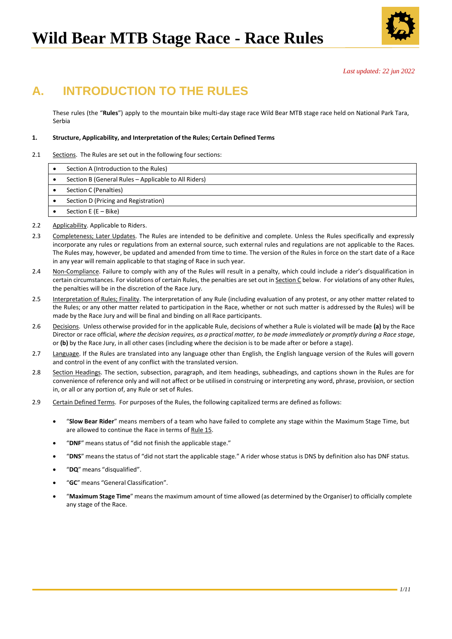

*Last updated: 22 jun 2022*

# **A. INTRODUCTION TO THE RULES**

These rules (the "**Rules**") apply to the mountain bike multi-day stage race Wild Bear MTB stage race held on National Park Tara, Serbia

# **1. Structure, Applicability, and Interpretation of the Rules; Certain Defined Terms**

2.1 Sections. The Rules are set out in the following four sections:

| Section A (Introduction to the Rules)                |
|------------------------------------------------------|
| Section B (General Rules - Applicable to All Riders) |
| Section C (Penalties)                                |
| Section D (Pricing and Registration)                 |
| Section E ( $E - Bike$ )                             |

- 2.2 Applicability. Applicable to Riders.
- 2.3 Completeness; Later Updates. The Rules are intended to be definitive and complete. Unless the Rules specifically and expressly incorporate any rules or regulations from an external source, such external rules and regulations are not applicable to the Races. The Rules may, however, be updated and amended from time to time. The version of the Rules in force on the start date of a Race in any year will remain applicable to that staging of Race in such year.
- 2.4 Non-Compliance. Failure to comply with any of the Rules will result in a penalty, which could include a rider's disqualification in certain circumstances. For violations of certain Rules, the penalties are set out in Section C below. For violations of any other Rules, the penalties will be in the discretion of the Race Jury.
- 2.5 Interpretation of Rules; Finality. The interpretation of any Rule (including evaluation of any protest, or any other matter related to the Rules; or any other matter related to participation in the Race, whether or not such matter is addressed by the Rules) will be made by the Race Jury and will be final and binding on all Race participants.
- 2.6 Decisions. Unless otherwise provided for in the applicable Rule, decisions of whether a Rule is violated will be made **(a)** by the Race Director or race official, where the decision requires, as a practical matter, to be made immediately or promptly during a Race stage, or **(b)** by the Race Jury, in all other cases (including where the decision is to be made after or before a stage).
- 2.7 Language. If the Rules are translated into any language other than English, the English language version of the Rules will govern and control in the event of any conflict with the translated version.
- 2.8 Section Headings. The section, subsection, paragraph, and item headings, subheadings, and captions shown in the Rules are for convenience of reference only and will not affect or be utilised in construing or interpreting any word, phrase, provision, or section in, or all or any portion of, any Rule or set of Rules.
- 2.9 Certain Defined Terms. For purposes of the Rules, the following capitalized terms are defined as follows:
	- "**Slow Bear Rider**" means members of a team who have failed to complete any stage within the Maximum Stage Time, but are allowed to continue the Race in terms of Rule [15.](#page-6-0)
	- "**DNF**" means status of "did not finish the applicable stage."
	- "**DNS**" means the status of "did not start the applicable stage." A rider whose status is DNS by definition also has DNF status.
	- "**DQ**" means "disqualified".
	- "**GC**" means "General Classification".
	- "**Maximum Stage Time**" means the maximum amount of time allowed (as determined by the Organiser) to officially complete any stage of the Race.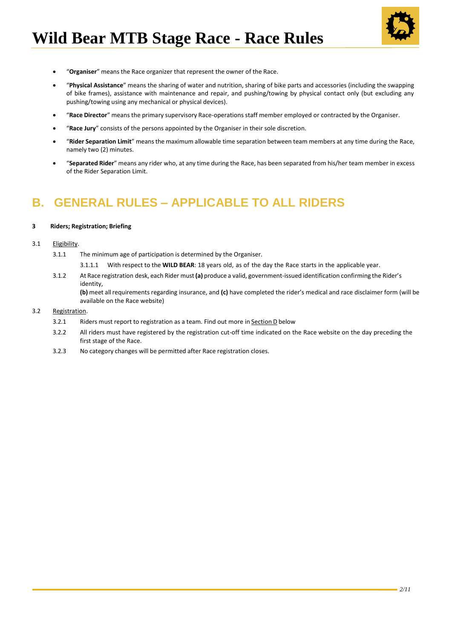

- "**Organiser**" means the Race organizer that represent the owner of the Race.
- "**Physical Assistance**" means the sharing of water and nutrition, sharing of bike parts and accessories (including the swapping of bike frames), assistance with maintenance and repair, and pushing/towing by physical contact only (but excluding any pushing/towing using any mechanical or physical devices).
- "**Race Director**" means the primary supervisory Race-operations staff member employed or contracted by the Organiser.
- "**Race Jury**" consists of the persons appointed by the Organiser in their sole discretion.
- "**Rider Separation Limit**" means the maximum allowable time separation between team members at any time during the Race, namely two (2) minutes.
- "**Separated Rider**" means any rider who, at any time during the Race, has been separated from his/her team member in excess of the Rider Separation Limit.

# **B. GENERAL RULES – APPLICABLE TO ALL RIDERS**

#### **3 Riders; Registration; Briefing**

# 3.1 Eligibility.

- 3.1.1 The minimum age of participation is determined by the Organiser.
	- 3.1.1.1 With respect to the **WILD BEAR**: 18 years old, as of the day the Race starts in the applicable year.
- 3.1.2 At Race registration desk, each Rider must**(a)** produce a valid, government-issued identification confirming the Rider's identity,

**(b)** meet allrequirements regarding insurance, and **(c)** have completed the rider's medical and race disclaimer form (will be available on the Race website)

# 3.2 Registration.

- 3.2.1 Riders must report to registration as a team. Find out more in Section D below
- 3.2.2 All riders must have registered by the registration cut-off time indicated on the Race website on the day preceding the first stage of the Race.
- 3.2.3 No category changes will be permitted after Race registration closes.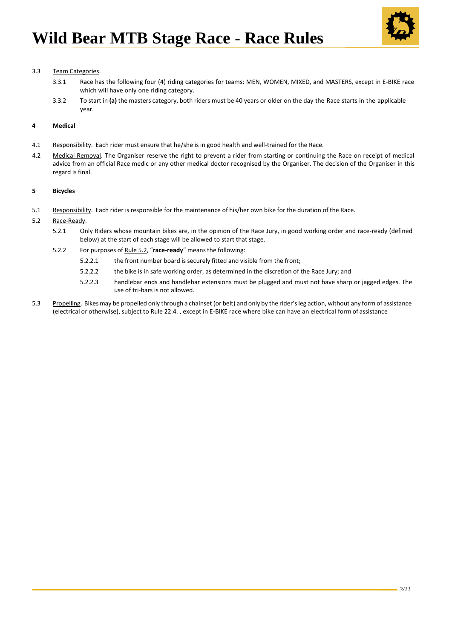

# 3.3 Team Categories.

- 3.3.1 Race has the following four (4) riding categories for teams: MEN, WOMEN, MIXED, and MASTERS, except in E-BIKE race which will have only one riding category.
- 3.3.2 To start in **(a)** the masters category, both riders must be 40 years or older on the day the Race starts in the applicable year.

# **4 Medical**

- 4.1 Responsibility. Each rider must ensure that he/she is in good health and well-trained for the Race.
- 4.2 Medical Removal. The Organiser reserve the right to prevent a rider from starting or continuing the Race on receipt of medical advice from an official Race medic or any other medical doctor recognised by the Organiser. The decision of the Organiser in this regard is final.

#### **5 Bicycles**

- 5.1 Responsibility. Each rider is responsible for the maintenance of his/her own bike for the duration of the Race.
- <span id="page-2-0"></span>5.2 Race-Ready.
	- 5.2.1 Only Riders whose mountain bikes are, in the opinion of the Race Jury, in good working order and race-ready (defined below) at the start of each stage will be allowed to start that stage.
	- 5.2.2 For purposes of Rule [5.2,](#page-2-0) "**race-ready**" means the following:
		- 5.2.2.1 the front number board is securely fitted and visible from the front;
		- 5.2.2.2 the bike is in safe working order, as determined in the discretion of the Race Jury; and
		- 5.2.2.3 handlebar ends and handlebar extensions must be plugged and must not have sharp or jagged edges. The use of tri-bars is not allowed.
- 5.3 Propelling. Bikes may be propelled only through a chainset (or belt) and only by the rider's leg action, without any form of assistance (electrical or otherwise), subject to Rule [22.4.](#page-7-0), except in E-BIKE race where bike can have an electrical form of assistance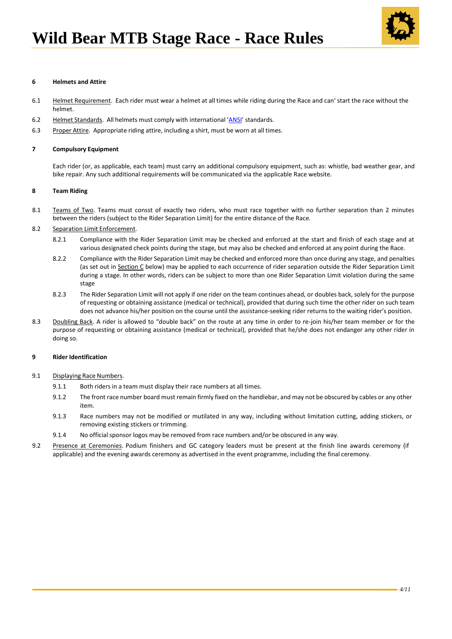

# **6 Helmets and Attire**

- <span id="page-3-0"></span>6.1 Helmet Requirement. Each rider must wear a helmet at all times while riding during the Race and can' start the race without the helmet.
- <span id="page-3-1"></span>6.2 Helmet Standards. All helmets must comply with international '[ANSI](https://helmets.org/helmet22.htm)' standards.
- <span id="page-3-2"></span>6.3 Proper Attire. Appropriate riding attire, including a shirt, must be worn at all times.

#### <span id="page-3-3"></span>**7 Compulsory Equipment**

Each rider (or, as applicable, each team) must carry an additional compulsory equipment, such as: whistle, bad weather gear, and bike repair. Any such additional requirements will be communicated via the applicable Race website.

#### **8 Team Riding**

<span id="page-3-4"></span>8.1 Teams of Two. Teams must consst of exactly two riders, who must race together with no further separation than 2 minutes between the riders (subject to the Rider Separation Limit) for the entire distance of the Race.

# 8.2 Separation Limit Enforcement.

- 8.2.1 Compliance with the Rider Separation Limit may be checked and enforced at the start and finish of each stage and at various designated check points during the stage, but may also be checked and enforced at any point during the Race.
- 8.2.2 Compliance with the Rider Separation Limit may be checked and enforced more than once during any stage, and penalties (as set out in Section C below) may be applied to each occurrence of rider separation outside the Rider Separation Limit during a stage. In other words, riders can be subject to more than one Rider Separation Limit violation during the same stage
- 8.2.3 The Rider Separation Limit will not apply if one rider on the team continues ahead, or doubles back, solely for the purpose of requesting or obtaining assistance (medical or technical), provided that during such time the other rider on such team does not advance his/her position on the course until the assistance-seeking rider returns to the waiting rider's position.
- 8.3 Doubling Back. A rider is allowed to "double back" on the route at any time in order to re-join his/her team member or for the purpose of requesting or obtaining assistance (medical or technical), provided that he/she does not endanger any other rider in doing so.

#### **9 Rider Identification**

#### <span id="page-3-5"></span>9.1 Displaying Race Numbers.

- 9.1.1 Both riders in a team must display their race numbers at all times.
- 9.1.2 The front race number board must remain firmly fixed on the handlebar, and may not be obscured by cables or any other item.
- 9.1.3 Race numbers may not be modified or mutilated in any way, including without limitation cutting, adding stickers, or removing existing stickers or trimming.
- 9.1.4 No official sponsor logos may be removed from race numbers and/or be obscured in any way.
- <span id="page-3-6"></span>9.2 Presence at Ceremonies. Podium finishers and GC category leaders must be present at the finish line awards ceremony (if applicable) and the evening awards ceremony as advertised in the event programme, including the final ceremony.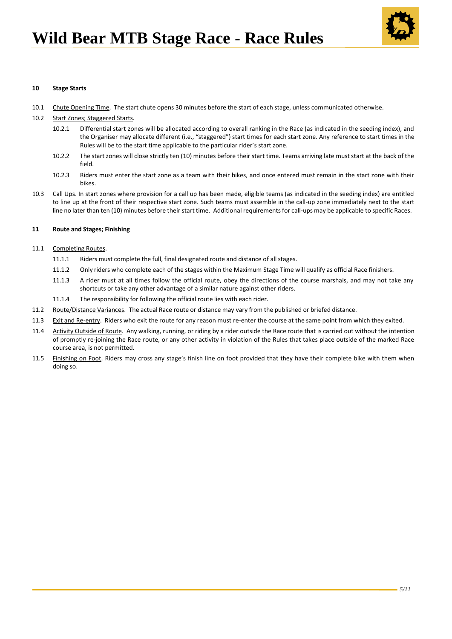

# **10 Stage Starts**

- 10.1 Chute Opening Time. The start chute opens 30 minutes before the start of each stage, unless communicated otherwise.
- <span id="page-4-1"></span><span id="page-4-0"></span>10.2 Start Zones; Staggered Starts.
	- 10.2.1 Differential start zones will be allocated according to overall ranking in the Race (as indicated in the seeding index), and the Organiser may allocate different (i.e., "staggered") start times for each start zone. Any reference to start times in the Rules will be to the start time applicable to the particular rider's start zone.
	- 10.2.2 The start zones will close strictly ten (10) minutes before their start time. Teams arriving late must start at the back of the field.
	- 10.2.3 Riders must enter the start zone as a team with their bikes, and once entered must remain in the start zone with their bikes.
- <span id="page-4-2"></span>10.3 Call Ups. In start zones where provision for a call up has been made, eligible teams (as indicated in the seeding index) are entitled to line up at the front of their respective start zone. Such teams must assemble in the call-up zone immediately next to the start line no later than ten (10) minutes before their start time. Additional requirements for call-ups may be applicable to specific Races.

#### **11 Route and Stages; Finishing**

# 11.1 Completing Routes.

- 11.1.1 Riders must complete the full, final designated route and distance of all stages.
- 11.1.2 Only riders who complete each of the stages within the Maximum Stage Time will qualify as official Race finishers.
- 11.1.3 A rider must at all times follow the official route, obey the directions of the course marshals, and may not take any shortcuts or take any other advantage of a similar nature against other riders.
- 11.1.4 The responsibility for following the official route lies with each rider.
- 11.2 Route/Distance Variances. The actual Race route or distance may vary from the published or briefed distance.
- 11.3 Exit and Re-entry. Riders who exit the route for any reason must re-enter the course at the same point from which they exited.
- <span id="page-4-3"></span>11.4 Activity Outside of Route. Any walking, running, or riding by a rider outside the Race route that is carried out without the intention of promptly re-joining the Race route, or any other activity in violation of the Rules that takes place outside of the marked Race course area, is not permitted.
- 11.5 Finishing on Foot. Riders may cross any stage's finish line on foot provided that they have their complete bike with them when doing so.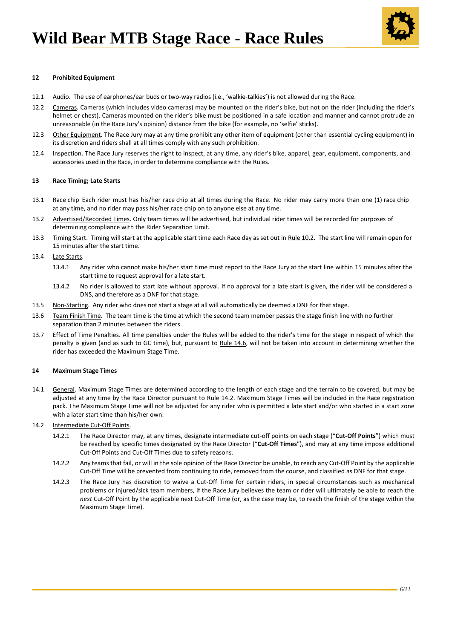

### <span id="page-5-1"></span>**12 Prohibited Equipment**

- 12.1 Audio. The use of earphones/ear buds or two-way radios (i.e., 'walkie-talkies') is not allowed during the Race.
- 12.2 Cameras. Cameras (which includes video cameras) may be mounted on the rider's bike, but not on the rider (including the rider's helmet or chest). Cameras mounted on the rider's bike must be positioned in a safe location and manner and cannot protrude an unreasonable (in the Race Jury's opinion) distance from the bike (for example, no 'selfie' sticks).
- 12.3 Other Equipment. The Race Jury may at any time prohibit any other item of equipment (other than essential cycling equipment) in its discretion and riders shall at all times comply with any such prohibition.
- 12.4 Inspection. The Race Jury reserves the right to inspect, at any time, any rider's bike, apparel, gear, equipment, components, and accessories used in the Race, in order to determine compliance with the Rules.

#### **13 Race Timing; Late Starts**

- <span id="page-5-2"></span>13.1 Race chip Each rider must has his/her race chip at all times during the Race. No rider may carry more than one (1) race chip at any time, and no rider may pass his/her race chip on to anyone else at any time.
- 13.2 Advertised/Recorded Times. Only team times will be advertised, but individual rider times will be recorded for purposes of determining compliance with the Rider Separation Limit.
- 13.3 Timing Start. Timing will start at the applicable start time each Race day as set out in Rule [10.2.](#page-4-0) The start line will remain open for 15 minutes after the start time.
- 13.4 Late Starts.
	- 13.4.1 Any rider who cannot make his/her start time must report to the Race Jury at the start line within 15 minutes after the start time to request approval for a late start.
	- 13.4.2 No rider is allowed to start late without approval. If no approval for a late start is given, the rider will be considered a DNS, and therefore as a DNF for that stage.
- 13.5 Non-Starting. Any rider who does not start a stage at all will automatically be deemed a DNF for that stage.
- 13.6 Team Finish Time. The team time is the time at which the second team member passes the stage finish line with no further separation than 2 minutes between the riders.
- 13.7 Effect of Time Penalties. All time penalties under the Rules will be added to the rider's time for the stage in respect of which the penalty is given (and as such to GC time), but, pursuant to Rule [14.6, w](#page-6-1)ill not be taken into account in determining whether the rider has exceeded the Maximum Stage Time.

#### **14 Maximum Stage Times**

- 14.1 General. Maximum Stage Times are determined according to the length of each stage and the terrain to be covered, but may be adjusted at any time by the Race Director pursuant to Rul[e 14.2. M](#page-5-0)aximum Stage Times will be included in the Race registration pack. The Maximum Stage Time will not be adjusted for any rider who is permitted a late start and/or who started in a start zone with a later start time than his/her own.
- <span id="page-5-0"></span>14.2 Intermediate Cut-Off Points.
	- 14.2.1 The Race Director may, at any times, designate intermediate cut-off points on each stage ("**Cut-Off Points**") which must be reached by specific times designated by the Race Director ("**Cut-Off Times**"), and may at any time impose additional Cut-Off Points and Cut-Off Times due to safety reasons.
	- 14.2.2 Any teams that fail, or will in the sole opinion of the Race Director be unable, to reach any Cut-Off Point by the applicable Cut-Off Time will be prevented from continuing to ride, removed from the course, and classified as DNF for that stage.
	- 14.2.3 The Race Jury has discretion to waive a Cut-Off Time for certain riders, in special circumstances such as mechanical problems or injured/sick team members, if the Race Jury believes the team or rider will ultimately be able to reach the *next* Cut-Off Point by the applicable next Cut-Off Time (or, as the case may be, to reach the finish of the stage within the Maximum Stage Time).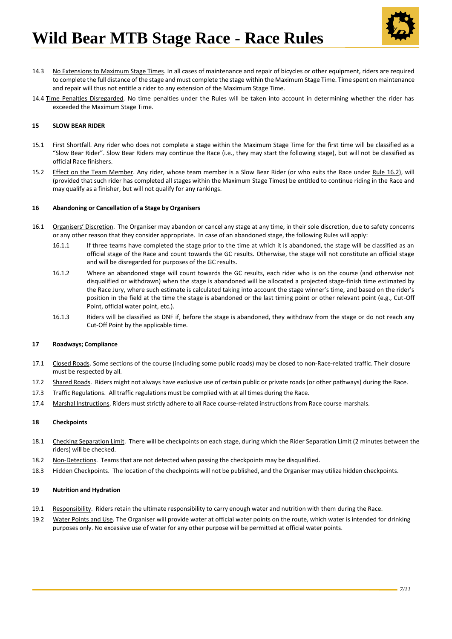

- 14.3 No Extensions to Maximum Stage Times. In all cases of maintenance and repair of bicycles or other equipment, riders are required to complete the full distance of the stage and must complete the stage within the Maximum Stage Time. Time spent on maintenance and repair will thus not entitle a rider to any extension of the Maximum Stage Time.
- <span id="page-6-1"></span>14.4 Time Penalties Disregarded. No time penalties under the Rules will be taken into account in determining whether the rider has exceeded the Maximum Stage Time.

### <span id="page-6-0"></span>**15 SLOW BEAR RIDER**

- 15.1 First Shortfall. Any rider who does not complete a stage within the Maximum Stage Time for the first time will be classified as a "Slow Bear Rider". Slow Bear Riders may continue the Race (i.e., they may start the following stage), but will not be classified as official Race finishers.
- <span id="page-6-2"></span>15.2 Effect on the Team Member. Any rider, whose team member is a Slow Bear Rider (or who exits the Race under Rule [16.2\)](#page-6-2), will (provided that such rider has completed all stages within the Maximum Stage Times) be entitled to continue riding in the Race and may qualify as a finisher, but will not qualify for any rankings.

#### **16 Abandoning or Cancellation of a Stage by Organisers**

- 16.1 Organisers' Discretion. The Organiser may abandon or cancel any stage at any time, in their sole discretion, due to safety concerns or any other reason that they consider appropriate. In case of an abandoned stage, the following Rules will apply:
	- 16.1.1 If three teams have completed the stage prior to the time at which it is abandoned, the stage will be classified as an official stage of the Race and count towards the GC results. Otherwise, the stage will not constitute an official stage and will be disregarded for purposes of the GC results.
	- 16.1.2 Where an abandoned stage will count towards the GC results, each rider who is on the course (and otherwise not disqualified or withdrawn) when the stage is abandoned will be allocated a projected stage-finish time estimated by the Race Jury, where such estimate is calculated taking into account the stage winner's time, and based on the rider's position in the field at the time the stage is abandoned or the last timing point or other relevant point (e.g., Cut-Off Point, official water point, etc.).
	- 16.1.3 Riders will be classified as DNF if, before the stage is abandoned, they withdraw from the stage or do not reach any Cut-Off Point by the applicable time.

### <span id="page-6-3"></span>**17 Roadways; Compliance**

- 17.1 Closed Roads. Some sections of the course (including some public roads) may be closed to non-Race-related traffic. Their closure must be respected by all.
- 17.2 Shared Roads. Riders might not always have exclusive use of certain public or private roads (or other pathways) during the Race.
- 17.3 Traffic Regulations. All traffic regulations must be complied with at all times during the Race.
- <span id="page-6-4"></span>17.4 Marshal Instructions. Riders must strictly adhere to all Race course-related instructions from Race course marshals.

#### **18 Checkpoints**

- 18.1 Checking Separation Limit. There will be checkpoints on each stage, during which the Rider Separation Limit (2 minutes between the riders) will be checked.
- 18.2 Non-Detections. Teams that are not detected when passing the checkpoints may be disqualified.
- 18.3 Hidden Checkpoints. The location of the checkpoints will not be published, and the Organiser may utilize hidden checkpoints.

#### **19 Nutrition and Hydration**

- 19.1 Responsibility. Riders retain the ultimate responsibility to carry enough water and nutrition with them during the Race.
- 19.2 Water Points and Use. The Organiser will provide water at official water points on the route, which water is intended for drinking purposes only. No excessive use of water for any other purpose will be permitted at official water points.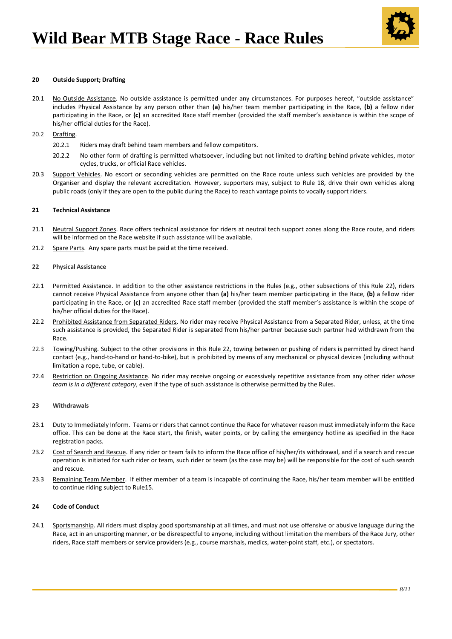

### <span id="page-7-2"></span>**20 Outside Support; Drafting**

- 20.1 No Outside Assistance. No outside assistance is permitted under any circumstances. For purposes hereof, "outside assistance" includes Physical Assistance by any person other than **(a)** his/her team member participating in the Race, **(b)** a fellow rider participating in the Race, or **(c)** an accredited Race staff member (provided the staff member's assistance is within the scope of his/her official duties for the Race).
- 20.2 Drafting.
	- 20.2.1 Riders may draft behind team members and fellow competitors.
	- 20.2.2 No other form of drafting is permitted whatsoever, including but not limited to drafting behind private vehicles, motor cycles, trucks, or official Race vehicles.
- 20.3 Support Vehicles. No escort or seconding vehicles are permitted on the Race route unless such vehicles are provided by the Organiser and display the relevant accreditation. However, supporters may, subject to Rule [18, d](#page-6-3)rive their own vehicles along public roads (only if they are open to the public during the Race) to reach vantage points to vocally support riders.

#### **21 Technical Assistance**

- 21.1 Neutral Support Zones. Race offers technical assistance for riders at neutral tech support zones along the Race route, and riders will be informed on the Race website if such assistance will be available.
- 21.2 Spare Parts. Any spare parts must be paid at the time received.
- <span id="page-7-1"></span>**22 Physical Assistance**
- 22.1 Permitted Assistance. In addition to the other assistance restrictions in the Rules (e.g., other subsections of this Rule [22\)](#page-7-1), riders cannot receive Physical Assistance from anyone other than **(a)** his/her team member participating in the Race, **(b)** a fellow rider participating in the Race, or **(c)** an accredited Race staff member (provided the staff member's assistance is within the scope of his/her official duties for the Race).
- <span id="page-7-3"></span>22.2 Prohibited Assistance from Separated Riders. No rider may receive Physical Assistance from a Separated Rider, unless, at the time such assistance is provided, the Separated Rider is separated from his/her partner because such partner had withdrawn from the Race.
- <span id="page-7-0"></span>22.3 Towing/Pushing. Subject to the other provisions in this Rul[e 22, t](#page-7-1)owing between or pushing of riders is permitted by direct hand contact (e.g., hand-to-hand or hand-to-bike), but is prohibited by means of any mechanical or physical devices (including without limitation a rope, tube, or cable).
- 22.4 Restriction on Ongoing Assistance. No rider may receive ongoing or excessively repetitive assistance from any other rider *whose team is in a different category*, even if the type of such assistance is otherwise permitted by the Rules.

#### **23 Withdrawals**

- 23.1 Duty to Immediately Inform. Teams or riders that cannot continue the Race for whatever reason must immediately inform the Race office. This can be done at the Race start, the finish, water points, or by calling the emergency hotline as specified in the Race registration packs.
- 23.2 Cost of Search and Rescue. If any rider or team fails to inform the Race office of his/her/its withdrawal, and if a search and rescue operation is initiated for such rider or team, such rider or team (as the case may be) will be responsible for the cost of such search and rescue.
- 23.3 Remaining Team Member. If either member of a team is incapable of continuing the Race, his/her team member will be entitled to continue riding subject to Rule15.

#### **24 Code of Conduct**

<span id="page-7-4"></span>24.1 Sportsmanship. All riders must display good sportsmanship at all times, and must not use offensive or abusive language during the Race, act in an unsporting manner, or be disrespectful to anyone, including without limitation the members of the Race Jury, other riders, Race staff members or service providers (e.g., course marshals, medics, water-point staff, etc.), or spectators.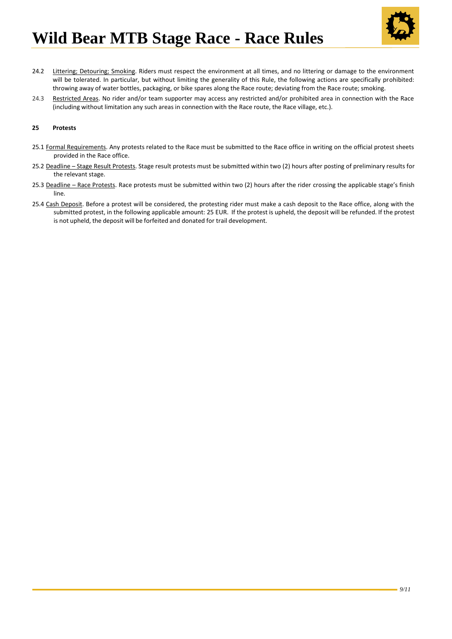

- <span id="page-8-0"></span>24.2 Littering; Detouring; Smoking. Riders must respect the environment at all times, and no littering or damage to the environment will be tolerated. In particular, but without limiting the generality of this Rule, the following actions are specifically prohibited: throwing away of water bottles, packaging, or bike spares along the Race route; deviating from the Race route; smoking.
- <span id="page-8-1"></span>24.3 Restricted Areas. No rider and/or team supporter may access any restricted and/or prohibited area in connection with the Race (including without limitation any such areas in connection with the Race route, the Race village, etc.).

# **25 Protests**

- 25.1 Formal Requirements. Any protests related to the Race must be submitted to the Race office in writing on the official protest sheets provided in the Race office.
- 25.2 Deadline Stage Result Protests. Stage result protests must be submitted within two (2) hours after posting of preliminary results for the relevant stage.
- 25.3 Deadline Race Protests. Race protests must be submitted within two (2) hours after the rider crossing the applicable stage's finish line.
- 25.4 Cash Deposit. Before a protest will be considered, the protesting rider must make a cash deposit to the Race office, along with the submitted protest, in the following applicable amount: 25 EUR. If the protest is upheld, the deposit will be refunded. If the protest is not upheld, the deposit will be forfeited and donated for trail development.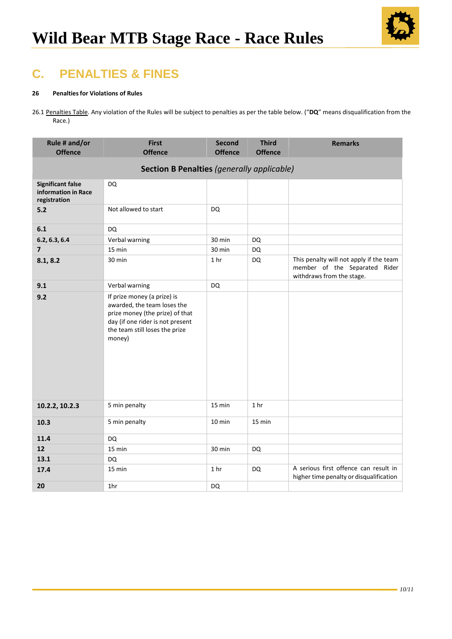

# **C. PENALTIES & FINES**

# **26 Penaltiesfor Violations of Rules**

26.1 Penalties Table. Any violation of the Rules will be subject to penalties as per the table below. ("**DQ**" means disqualification from the Race.)

| Rule # and/or<br><b>Offence</b>                                 | <b>First</b><br><b>Offence</b>                                                                                                                                                | <b>Second</b><br><b>Offence</b> | <b>Third</b><br><b>Offence</b> | <b>Remarks</b>                                                                                        |  |  |  |  |  |
|-----------------------------------------------------------------|-------------------------------------------------------------------------------------------------------------------------------------------------------------------------------|---------------------------------|--------------------------------|-------------------------------------------------------------------------------------------------------|--|--|--|--|--|
| <b>Section B Penalties (generally applicable)</b>               |                                                                                                                                                                               |                                 |                                |                                                                                                       |  |  |  |  |  |
| <b>Significant false</b><br>information in Race<br>registration | <b>DQ</b>                                                                                                                                                                     |                                 |                                |                                                                                                       |  |  |  |  |  |
| 5.2                                                             | Not allowed to start                                                                                                                                                          | DQ                              |                                |                                                                                                       |  |  |  |  |  |
| 6.1                                                             | DQ                                                                                                                                                                            |                                 |                                |                                                                                                       |  |  |  |  |  |
| 6.2, 6.3, 6.4                                                   | Verbal warning                                                                                                                                                                | 30 min                          | <b>DQ</b>                      |                                                                                                       |  |  |  |  |  |
| $\overline{7}$                                                  | 15 min                                                                                                                                                                        | 30 min                          | <b>DQ</b>                      |                                                                                                       |  |  |  |  |  |
| 8.1, 8.2                                                        | 30 min                                                                                                                                                                        | 1 <sub>hr</sub>                 | <b>DQ</b>                      | This penalty will not apply if the team<br>member of the Separated Rider<br>withdraws from the stage. |  |  |  |  |  |
| 9.1                                                             | Verbal warning                                                                                                                                                                | <b>DQ</b>                       |                                |                                                                                                       |  |  |  |  |  |
| 9.2                                                             | If prize money (a prize) is<br>awarded, the team loses the<br>prize money (the prize) of that<br>day (if one rider is not present<br>the team still loses the prize<br>money) |                                 |                                |                                                                                                       |  |  |  |  |  |
| 10.2.2, 10.2.3                                                  | 5 min penalty                                                                                                                                                                 | 15 min                          | 1 <sub>hr</sub>                |                                                                                                       |  |  |  |  |  |
| 10.3                                                            | 5 min penalty                                                                                                                                                                 | 10 min                          | 15 min                         |                                                                                                       |  |  |  |  |  |
| 11.4                                                            | <b>DQ</b>                                                                                                                                                                     |                                 |                                |                                                                                                       |  |  |  |  |  |
| 12                                                              | 15 min                                                                                                                                                                        | 30 min                          | <b>DQ</b>                      |                                                                                                       |  |  |  |  |  |
| 13.1                                                            | <b>DQ</b>                                                                                                                                                                     |                                 |                                |                                                                                                       |  |  |  |  |  |
| 17.4                                                            | 15 min                                                                                                                                                                        | 1 <sub>hr</sub>                 | DQ                             | A serious first offence can result in<br>higher time penalty or disqualification                      |  |  |  |  |  |
| 20                                                              | 1hr                                                                                                                                                                           | DQ                              |                                |                                                                                                       |  |  |  |  |  |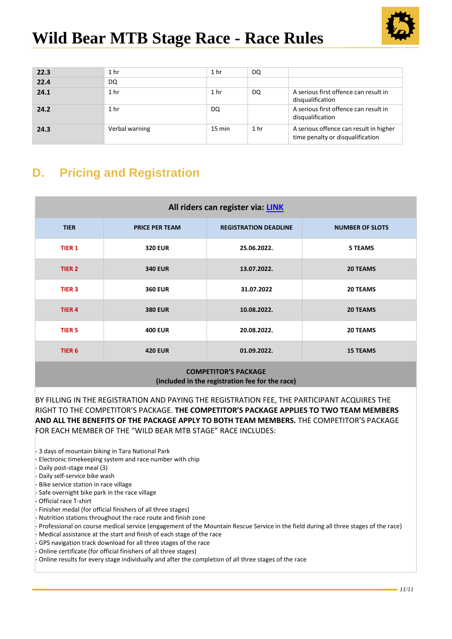

| 22.3 | 1 <sub>hr</sub> | 1 <sub>hr</sub>  | DQ              |                                                                            |
|------|-----------------|------------------|-----------------|----------------------------------------------------------------------------|
| 22.4 | DQ              |                  |                 |                                                                            |
| 24.1 | 1 <sub>hr</sub> | 1 hr             | DQ              | A serious first offence can result in<br>disqualification                  |
| 24.2 | 1 <sub>hr</sub> | DQ               |                 | A serious first offence can result in<br>disqualification                  |
| 24.3 | Verbal warning  | $15 \text{ min}$ | 1 <sub>hr</sub> | A serious offence can result in higher<br>time penalty or disqualification |

# **D. Pricing and Registration**

| All riders can register via: LINK |                       |                              |                        |  |  |  |  |  |
|-----------------------------------|-----------------------|------------------------------|------------------------|--|--|--|--|--|
| <b>TIER</b>                       | <b>PRICE PER TEAM</b> | <b>REGISTRATION DEADLINE</b> | <b>NUMBER OF SLOTS</b> |  |  |  |  |  |
| <b>TIER 1</b>                     | <b>320 EUR</b>        | 25.06.2022.                  | <b>5 TEAMS</b>         |  |  |  |  |  |
| TIER <sub>2</sub>                 | <b>340 EUR</b>        | 13.07.2022.                  | <b>20 TEAMS</b>        |  |  |  |  |  |
| TIER <sub>3</sub>                 | <b>360 EUR</b>        | 31.07.2022                   | <b>20 TEAMS</b>        |  |  |  |  |  |
| TIER <sub>4</sub>                 | <b>380 EUR</b>        | 10.08.2022.                  | <b>20 TEAMS</b>        |  |  |  |  |  |
| TIER <sub>5</sub>                 | <b>400 EUR</b>        | 20.08.2022.                  | <b>20 TEAMS</b>        |  |  |  |  |  |
| TIER <sub>6</sub>                 | <b>420 EUR</b>        | 01.09.2022.                  | <b>15 TEAMS</b>        |  |  |  |  |  |
| 0.088807717001008801807           |                       |                              |                        |  |  |  |  |  |

#### **COMPETITOR'S PACKAGE (included in the registration fee for the race)**

BY FILLING IN THE REGISTRATION AND PAYING THE REGISTRATION FEE, THE PARTICIPANT ACQUIRES THE RIGHT TO THE COMPETITOR'S PACKAGE. **THE COMPETITOR'S PACKAGE APPLIES TO TWO TEAM MEMBERS AND ALL THE BENEFITS OF THE PACKAGE APPLY TO BOTH TEAM MEMBERS.** THE COMPETITOR'S PACKAGE FOR EACH MEMBER OF THE "WILD BEAR MTB STAGE" RACE INCLUDES:

- 3 days of mountain biking in Tara National Park
- Electronic timekeeping system and race number with chip
- Daily post-stage meal (3)
- Daily self-service bike wash
- Bike service station in race village
- Safe overnight bike park in the race village
- Official race T-shirt
- Finisher medal (for official finishers of all three stages)
- Nutrition stations throughout the race route and finish zone
- Professional on course medical service (engagement of the Mountain Rescue Service in the field during all three stages of the race)
- Medical assistance at the start and finish of each stage of the race
- GPS navigation track download for all three stages of the race
- Online certificate (for official finishers of all three stages)
- Online results for every stage individually and after the completion of all three stages of the race